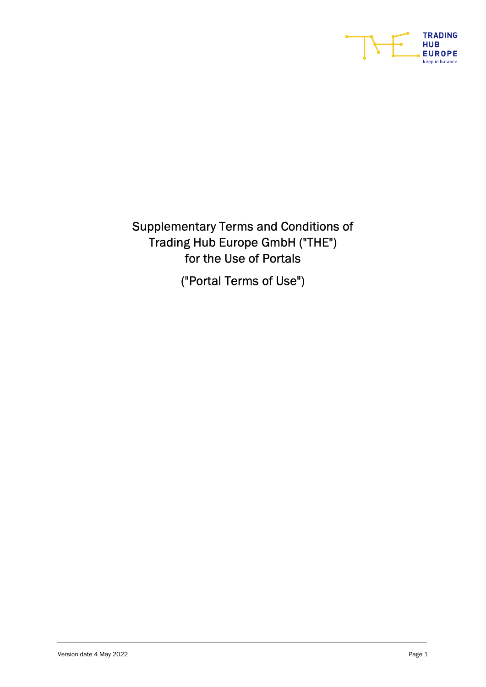

Supplementary Terms and Conditions of Trading Hub Europe GmbH ("THE") for the Use of Portals

("Portal Terms of Use")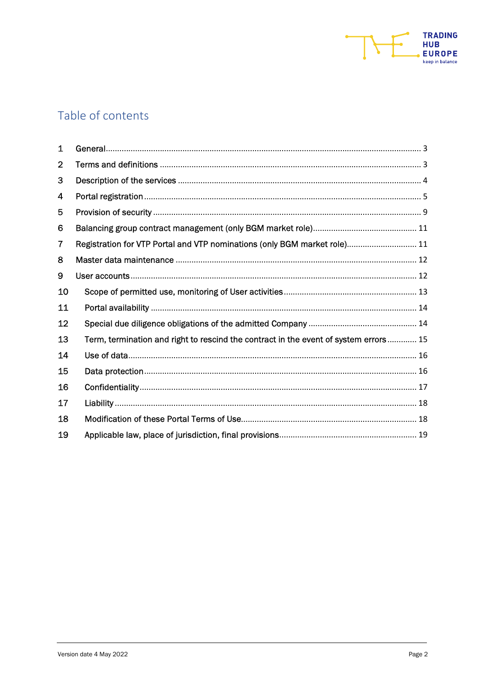

# Table of contents

| 1  |                                                                                      |
|----|--------------------------------------------------------------------------------------|
| 2  |                                                                                      |
| З  |                                                                                      |
| 4  |                                                                                      |
| 5  |                                                                                      |
| 6  |                                                                                      |
| 7  | Registration for VTP Portal and VTP nominations (only BGM market role) 11            |
| 8  |                                                                                      |
| 9  |                                                                                      |
| 10 |                                                                                      |
| 11 |                                                                                      |
| 12 |                                                                                      |
| 13 | Term, termination and right to rescind the contract in the event of system errors 15 |
| 14 |                                                                                      |
| 15 |                                                                                      |
| 16 |                                                                                      |
| 17 |                                                                                      |
| 18 |                                                                                      |
| 19 |                                                                                      |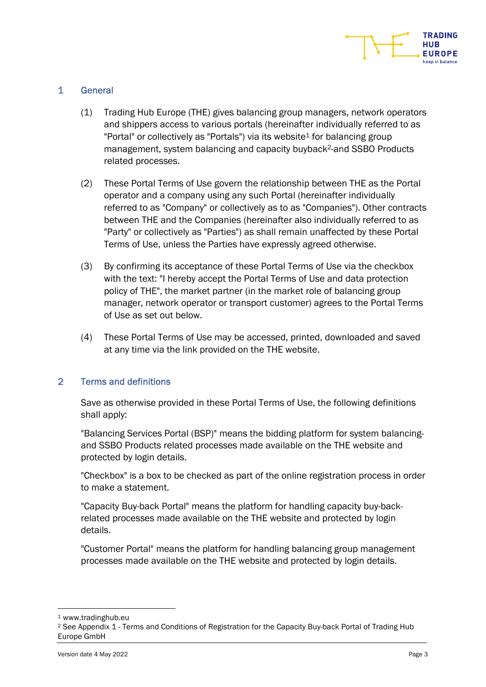

## 1 General

- (1) Trading Hub Europe (THE) gives balancing group managers, network operators and shippers access to various portals (hereinafter individually referred to as "Portal" or collectively as "Portals") via its website<sup>1</sup> for balancing group management, system balancing and capacity buyback<sup>2</sup>-and SSBO Products related processes.
- (2) These Portal Terms of Use govern the relationship between THE as the Portal operator and a company using any such Portal (hereinafter individually referred to as "Company" or collectively as to as "Companies"). Other contracts between THE and the Companies (hereinafter also individually referred to as "Party" or collectively as "Parties") as shall remain unaffected by these Portal Terms of Use, unless the Parties have expressly agreed otherwise.
- (3) By confirming its acceptance of these Portal Terms of Use via the checkbox with the text: "I hereby accept the Portal Terms of Use and data protection policy of THE", the market partner (in the market role of balancing group manager, network operator or transport customer) agrees to the Portal Terms of Use as set out below.
- (4) These Portal Terms of Use may be accessed, printed, downloaded and saved at any time via the link provided on the THE website.

## 2 Terms and definitions

Save as otherwise provided in these Portal Terms of Use, the following definitions shall apply:

"Balancing Services Portal (BSP)" means the bidding platform for system balancingand SSBO Products related processes made available on the THE website and protected by login details.

"Checkbox" is a box to be checked as part of the online registration process in order to make a statement.

"Capacity Buy-back Portal" means the platform for handling capacity buy-backrelated processes made available on the THE website and protected by login details.

"Customer Portal" means the platform for handling balancing group management processes made available on the THE website and protected by login details.

<sup>1</sup> www.tradinghub.eu

<sup>2</sup> See Appendix 1 - Terms and Conditions of Registration for the Capacity Buy-back Portal of Trading Hub Europe GmbH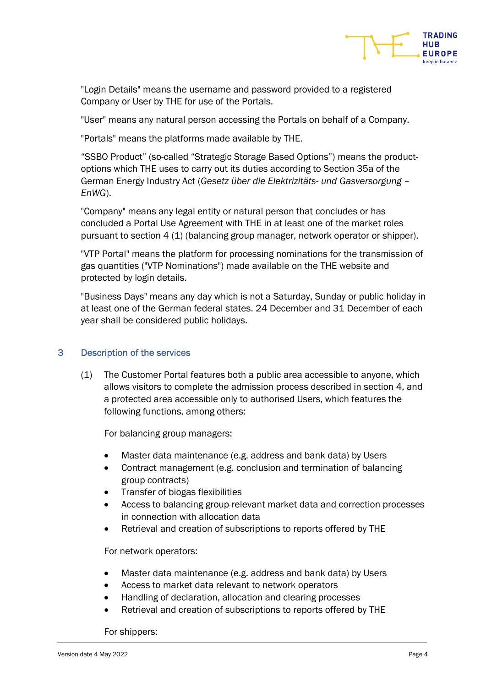

"Login Details" means the username and password provided to a registered Company or User by THE for use of the Portals.

"User" means any natural person accessing the Portals on behalf of a Company.

"Portals" means the platforms made available by THE.

"SSBO Product" (so-called "Strategic Storage Based Options") means the productoptions which THE uses to carry out its duties according to Section 35a of the German Energy Industry Act (Gesetz über die Elektrizitäts- und Gasversorgung – EnWG).

"Company" means any legal entity or natural person that concludes or has concluded a Portal Use Agreement with THE in at least one of the market roles pursuant to section 4 (1) (balancing group manager, network operator or shipper).

"VTP Portal" means the platform for processing nominations for the transmission of gas quantities ("VTP Nominations") made available on the THE website and protected by login details.

"Business Days" means any day which is not a Saturday, Sunday or public holiday in at least one of the German federal states. 24 December and 31 December of each year shall be considered public holidays.

## 3 Description of the services

(1) The Customer Portal features both a public area accessible to anyone, which allows visitors to complete the admission process described in section 4, and a protected area accessible only to authorised Users, which features the following functions, among others:

For balancing group managers:

- Master data maintenance (e.g. address and bank data) by Users
- Contract management (e.g. conclusion and termination of balancing group contracts)
- Transfer of biogas flexibilities
- Access to balancing group-relevant market data and correction processes in connection with allocation data
- Retrieval and creation of subscriptions to reports offered by THE

For network operators:

- Master data maintenance (e.g. address and bank data) by Users
- Access to market data relevant to network operators
- Handling of declaration, allocation and clearing processes
- Retrieval and creation of subscriptions to reports offered by THE

For shippers: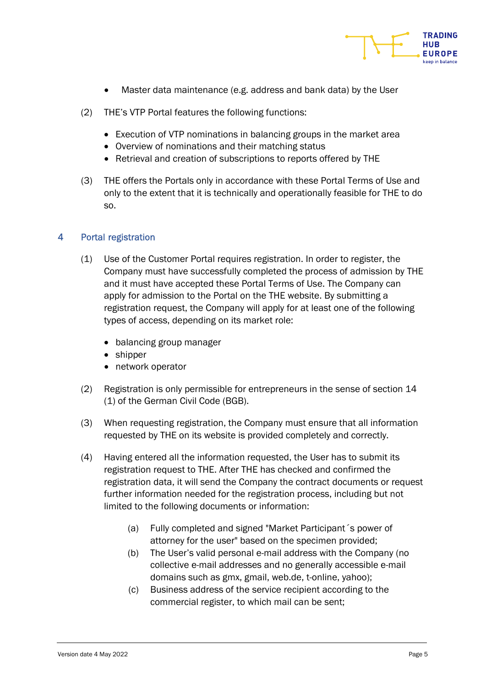

- Master data maintenance (e.g. address and bank data) by the User
- (2) THE's VTP Portal features the following functions:
	- Execution of VTP nominations in balancing groups in the market area
	- Overview of nominations and their matching status
	- Retrieval and creation of subscriptions to reports offered by THE
- (3) THE offers the Portals only in accordance with these Portal Terms of Use and only to the extent that it is technically and operationally feasible for THE to do so.

## 4 Portal registration

- (1) Use of the Customer Portal requires registration. In order to register, the Company must have successfully completed the process of admission by THE and it must have accepted these Portal Terms of Use. The Company can apply for admission to the Portal on the THE website. By submitting a registration request, the Company will apply for at least one of the following types of access, depending on its market role:
	- balancing group manager
	- shipper
	- network operator
- (2) Registration is only permissible for entrepreneurs in the sense of section 14 (1) of the German Civil Code (BGB).
- (3) When requesting registration, the Company must ensure that all information requested by THE on its website is provided completely and correctly.
- (4) Having entered all the information requested, the User has to submit its registration request to THE. After THE has checked and confirmed the registration data, it will send the Company the contract documents or request further information needed for the registration process, including but not limited to the following documents or information:
	- (a) Fully completed and signed "Market Participant´s power of attorney for the user" based on the specimen provided;
	- (b) The User's valid personal e-mail address with the Company (no collective e-mail addresses and no generally accessible e-mail domains such as gmx, gmail, web.de, t-online, yahoo);
	- (c) Business address of the service recipient according to the commercial register, to which mail can be sent;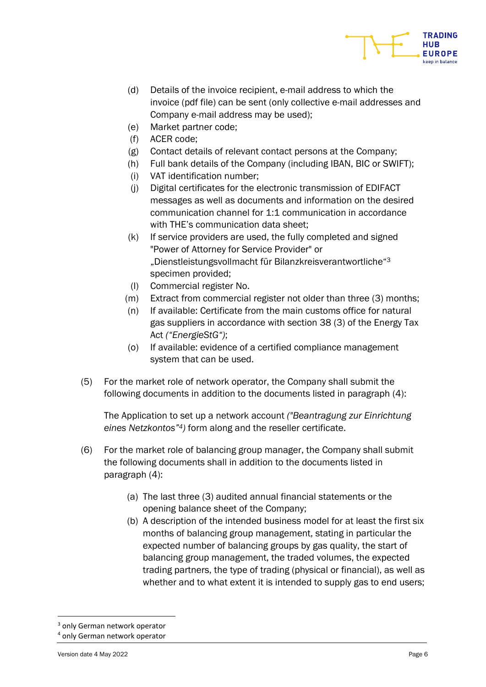

- (d) Details of the invoice recipient, e-mail address to which the invoice (pdf file) can be sent (only collective e-mail addresses and Company e-mail address may be used);
- (e) Market partner code;
- (f) ACER code;
- (g) Contact details of relevant contact persons at the Company;
- (h) Full bank details of the Company (including IBAN, BIC or SWIFT);
- (i) VAT identification number;
- (j) Digital certificates for the electronic transmission of EDIFACT messages as well as documents and information on the desired communication channel for 1:1 communication in accordance with THE's communication data sheet:
- (k) If service providers are used, the fully completed and signed "Power of Attorney for Service Provider" or "Dienstleistungsvollmacht für Bilanzkreisverantwortliche"<sup>3</sup> specimen provided;
- (l) Commercial register No.
- (m) Extract from commercial register not older than three (3) months;
- (n) If available: Certificate from the main customs office for natural gas suppliers in accordance with section 38 (3) of the Energy Tax Act ("EnergieStG");
- (o) If available: evidence of a certified compliance management system that can be used.
- (5) For the market role of network operator, the Company shall submit the following documents in addition to the documents listed in paragraph (4):

The Application to set up a network account ("Beantragung zur Einrichtung eines Netzkontos"4) form along and the reseller certificate.

- (6) For the market role of balancing group manager, the Company shall submit the following documents shall in addition to the documents listed in paragraph (4):
	- (a) The last three (3) audited annual financial statements or the opening balance sheet of the Company;
	- (b) A description of the intended business model for at least the first six months of balancing group management, stating in particular the expected number of balancing groups by gas quality, the start of balancing group management, the traded volumes, the expected trading partners, the type of trading (physical or financial), as well as whether and to what extent it is intended to supply gas to end users;

<sup>3</sup> only German network operator

<sup>4</sup> only German network operator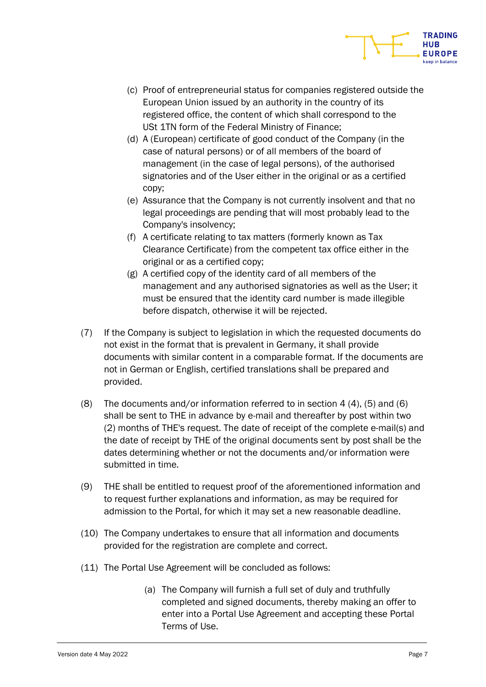

- (c) Proof of entrepreneurial status for companies registered outside the European Union issued by an authority in the country of its registered office, the content of which shall correspond to the USt 1TN form of the Federal Ministry of Finance;
- (d) A (European) certificate of good conduct of the Company (in the case of natural persons) or of all members of the board of management (in the case of legal persons), of the authorised signatories and of the User either in the original or as a certified copy;
- (e) Assurance that the Company is not currently insolvent and that no legal proceedings are pending that will most probably lead to the Company's insolvency;
- (f) A certificate relating to tax matters (formerly known as Tax Clearance Certificate) from the competent tax office either in the original or as a certified copy;
- (g) A certified copy of the identity card of all members of the management and any authorised signatories as well as the User; it must be ensured that the identity card number is made illegible before dispatch, otherwise it will be rejected.
- (7) If the Company is subject to legislation in which the requested documents do not exist in the format that is prevalent in Germany, it shall provide documents with similar content in a comparable format. If the documents are not in German or English, certified translations shall be prepared and provided.
- (8) The documents and/or information referred to in section 4 (4), (5) and (6) shall be sent to THE in advance by e-mail and thereafter by post within two (2) months of THE's request. The date of receipt of the complete e-mail(s) and the date of receipt by THE of the original documents sent by post shall be the dates determining whether or not the documents and/or information were submitted in time.
- (9) THE shall be entitled to request proof of the aforementioned information and to request further explanations and information, as may be required for admission to the Portal, for which it may set a new reasonable deadline.
- (10) The Company undertakes to ensure that all information and documents provided for the registration are complete and correct.
- (11) The Portal Use Agreement will be concluded as follows:
	- (a) The Company will furnish a full set of duly and truthfully completed and signed documents, thereby making an offer to enter into a Portal Use Agreement and accepting these Portal Terms of Use.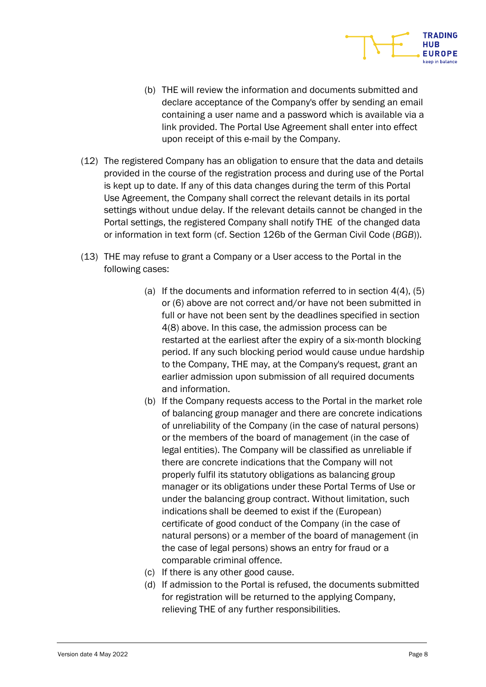

- (12) The registered Company has an obligation to ensure that the data and details provided in the course of the registration process and during use of the Portal is kept up to date. If any of this data changes during the term of this Portal Use Agreement, the Company shall correct the relevant details in its portal settings without undue delay. If the relevant details cannot be changed in the Portal settings, the registered Company shall notify THE of the changed data or information in text form (cf. Section 126b of the German Civil Code (BGB)).
- (13) THE may refuse to grant a Company or a User access to the Portal in the following cases:
	- (a) If the documents and information referred to in section 4(4), (5) or (6) above are not correct and/or have not been submitted in full or have not been sent by the deadlines specified in section 4(8) above. In this case, the admission process can be restarted at the earliest after the expiry of a six-month blocking period. If any such blocking period would cause undue hardship to the Company, THE may, at the Company's request, grant an earlier admission upon submission of all required documents and information.
	- (b) If the Company requests access to the Portal in the market role of balancing group manager and there are concrete indications of unreliability of the Company (in the case of natural persons) or the members of the board of management (in the case of legal entities). The Company will be classified as unreliable if there are concrete indications that the Company will not properly fulfil its statutory obligations as balancing group manager or its obligations under these Portal Terms of Use or under the balancing group contract. Without limitation, such indications shall be deemed to exist if the (European) certificate of good conduct of the Company (in the case of natural persons) or a member of the board of management (in the case of legal persons) shows an entry for fraud or a comparable criminal offence.
	- (c) If there is any other good cause.
	- (d) If admission to the Portal is refused, the documents submitted for registration will be returned to the applying Company, relieving THE of any further responsibilities.

**TRADING** HUR **FUROPE**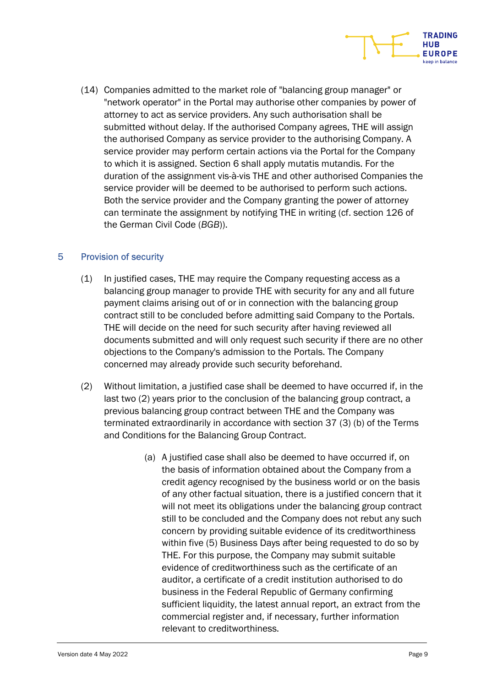

(14) Companies admitted to the market role of "balancing group manager" or "network operator" in the Portal may authorise other companies by power of attorney to act as service providers. Any such authorisation shall be submitted without delay. If the authorised Company agrees, THE will assign the authorised Company as service provider to the authorising Company. A service provider may perform certain actions via the Portal for the Company to which it is assigned. Section 6 shall apply mutatis mutandis. For the duration of the assignment vis-à-vis THE and other authorised Companies the service provider will be deemed to be authorised to perform such actions. Both the service provider and the Company granting the power of attorney can terminate the assignment by notifying THE in writing (cf. section 126 of the German Civil Code (BGB)).

## 5 Provision of security

- (1) In justified cases, THE may require the Company requesting access as a balancing group manager to provide THE with security for any and all future payment claims arising out of or in connection with the balancing group contract still to be concluded before admitting said Company to the Portals. THE will decide on the need for such security after having reviewed all documents submitted and will only request such security if there are no other objections to the Company's admission to the Portals. The Company concerned may already provide such security beforehand.
- (2) Without limitation, a justified case shall be deemed to have occurred if, in the last two (2) years prior to the conclusion of the balancing group contract, a previous balancing group contract between THE and the Company was terminated extraordinarily in accordance with section 37 (3) (b) of the Terms and Conditions for the Balancing Group Contract.
	- (a) A justified case shall also be deemed to have occurred if, on the basis of information obtained about the Company from a credit agency recognised by the business world or on the basis of any other factual situation, there is a justified concern that it will not meet its obligations under the balancing group contract still to be concluded and the Company does not rebut any such concern by providing suitable evidence of its creditworthiness within five (5) Business Days after being requested to do so by THE. For this purpose, the Company may submit suitable evidence of creditworthiness such as the certificate of an auditor, a certificate of a credit institution authorised to do business in the Federal Republic of Germany confirming sufficient liquidity, the latest annual report, an extract from the commercial register and, if necessary, further information relevant to creditworthiness.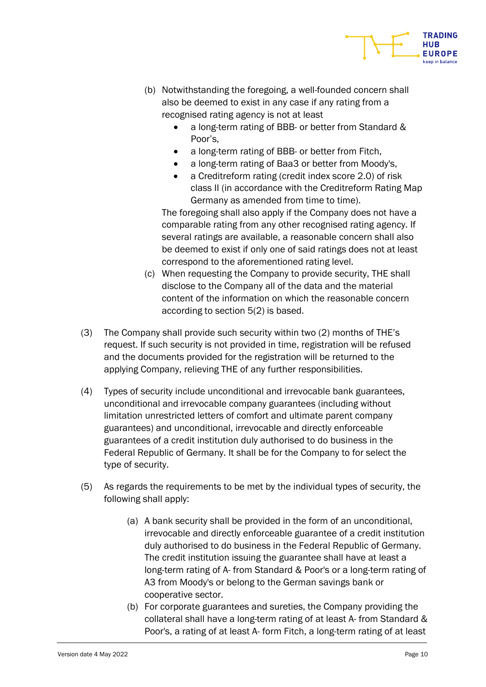

- (b) Notwithstanding the foregoing, a well-founded concern shall also be deemed to exist in any case if any rating from a recognised rating agency is not at least
	- a long-term rating of BBB- or better from Standard & Poor's,
	- a long-term rating of BBB- or better from Fitch,
	- a long-term rating of Baa3 or better from Moody's,
	- a Creditreform rating (credit index score 2.0) of risk class II (in accordance with the Creditreform Rating Map Germany as amended from time to time).

The foregoing shall also apply if the Company does not have a comparable rating from any other recognised rating agency. If several ratings are available, a reasonable concern shall also be deemed to exist if only one of said ratings does not at least correspond to the aforementioned rating level.

- (c) When requesting the Company to provide security, THE shall disclose to the Company all of the data and the material content of the information on which the reasonable concern according to section 5(2) is based.
- (3) The Company shall provide such security within two (2) months of THE's request. If such security is not provided in time, registration will be refused and the documents provided for the registration will be returned to the applying Company, relieving THE of any further responsibilities.
- (4) Types of security include unconditional and irrevocable bank guarantees, unconditional and irrevocable company guarantees (including without limitation unrestricted letters of comfort and ultimate parent company guarantees) and unconditional, irrevocable and directly enforceable guarantees of a credit institution duly authorised to do business in the Federal Republic of Germany. It shall be for the Company to for select the type of security.
- (5) As regards the requirements to be met by the individual types of security, the following shall apply:
	- (a) A bank security shall be provided in the form of an unconditional, irrevocable and directly enforceable guarantee of a credit institution duly authorised to do business in the Federal Republic of Germany. The credit institution issuing the guarantee shall have at least a long-term rating of A- from Standard & Poor's or a long-term rating of A3 from Moody's or belong to the German savings bank or cooperative sector.
	- (b) For corporate guarantees and sureties, the Company providing the collateral shall have a long-term rating of at least A- from Standard & Poor's, a rating of at least A- form Fitch, a long-term rating of at least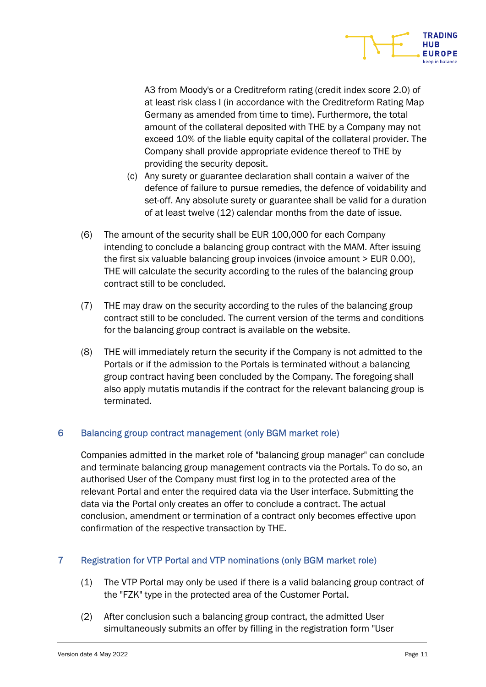

A3 from Moody's or a Creditreform rating (credit index score 2.0) of at least risk class I (in accordance with the Creditreform Rating Map Germany as amended from time to time). Furthermore, the total amount of the collateral deposited with THE by a Company may not exceed 10% of the liable equity capital of the collateral provider. The Company shall provide appropriate evidence thereof to THE by providing the security deposit.

- (c) Any surety or guarantee declaration shall contain a waiver of the defence of failure to pursue remedies, the defence of voidability and set-off. Any absolute surety or guarantee shall be valid for a duration of at least twelve (12) calendar months from the date of issue.
- (6) The amount of the security shall be EUR 100,000 for each Company intending to conclude a balancing group contract with the MAM. After issuing the first six valuable balancing group invoices (invoice amount > EUR 0.00), THE will calculate the security according to the rules of the balancing group contract still to be concluded.
- (7) THE may draw on the security according to the rules of the balancing group contract still to be concluded. The current version of the terms and conditions for the balancing group contract is available on the website.
- (8) THE will immediately return the security if the Company is not admitted to the Portals or if the admission to the Portals is terminated without a balancing group contract having been concluded by the Company. The foregoing shall also apply mutatis mutandis if the contract for the relevant balancing group is terminated.

# 6 Balancing group contract management (only BGM market role)

Companies admitted in the market role of "balancing group manager" can conclude and terminate balancing group management contracts via the Portals. To do so, an authorised User of the Company must first log in to the protected area of the relevant Portal and enter the required data via the User interface. Submitting the data via the Portal only creates an offer to conclude a contract. The actual conclusion, amendment or termination of a contract only becomes effective upon confirmation of the respective transaction by THE.

# 7 Registration for VTP Portal and VTP nominations (only BGM market role)

- (1) The VTP Portal may only be used if there is a valid balancing group contract of the "FZK" type in the protected area of the Customer Portal.
- (2) After conclusion such a balancing group contract, the admitted User simultaneously submits an offer by filling in the registration form "User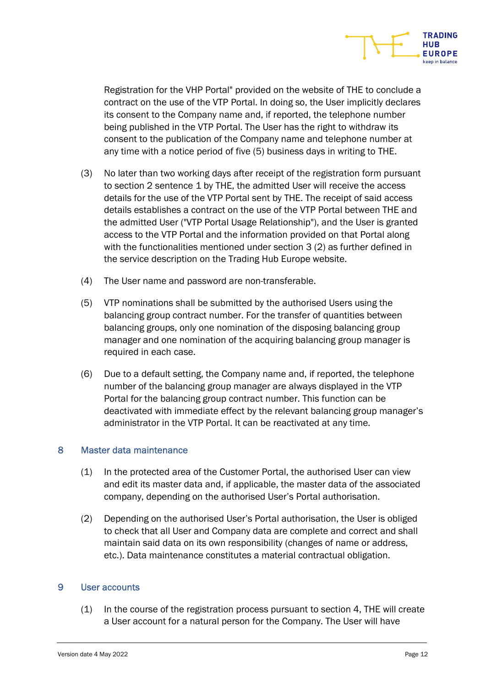

Registration for the VHP Portal" provided on the website of THE to conclude a contract on the use of the VTP Portal. In doing so, the User implicitly declares its consent to the Company name and, if reported, the telephone number being published in the VTP Portal. The User has the right to withdraw its consent to the publication of the Company name and telephone number at any time with a notice period of five (5) business days in writing to THE.

- (3) No later than two working days after receipt of the registration form pursuant to section 2 sentence 1 by THE, the admitted User will receive the access details for the use of the VTP Portal sent by THE. The receipt of said access details establishes a contract on the use of the VTP Portal between THE and the admitted User ("VTP Portal Usage Relationship"), and the User is granted access to the VTP Portal and the information provided on that Portal along with the functionalities mentioned under section 3 (2) as further defined in the service description on the Trading Hub Europe website.
- (4) The User name and password are non-transferable.
- (5) VTP nominations shall be submitted by the authorised Users using the balancing group contract number. For the transfer of quantities between balancing groups, only one nomination of the disposing balancing group manager and one nomination of the acquiring balancing group manager is required in each case.
- (6) Due to a default setting, the Company name and, if reported, the telephone number of the balancing group manager are always displayed in the VTP Portal for the balancing group contract number. This function can be deactivated with immediate effect by the relevant balancing group manager's administrator in the VTP Portal. It can be reactivated at any time.

## 8 Master data maintenance

- (1) In the protected area of the Customer Portal, the authorised User can view and edit its master data and, if applicable, the master data of the associated company, depending on the authorised User's Portal authorisation.
- (2) Depending on the authorised User's Portal authorisation, the User is obliged to check that all User and Company data are complete and correct and shall maintain said data on its own responsibility (changes of name or address, etc.). Data maintenance constitutes a material contractual obligation.

## 9 User accounts

(1) In the course of the registration process pursuant to section 4, THE will create a User account for a natural person for the Company. The User will have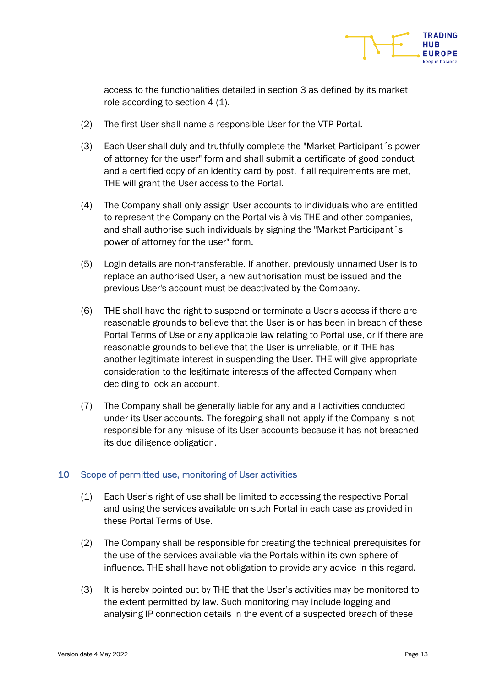

access to the functionalities detailed in section 3 as defined by its market role according to section 4 (1).

- (2) The first User shall name a responsible User for the VTP Portal.
- (3) Each User shall duly and truthfully complete the "Market Participant´s power of attorney for the user" form and shall submit a certificate of good conduct and a certified copy of an identity card by post. If all requirements are met, THE will grant the User access to the Portal.
- (4) The Company shall only assign User accounts to individuals who are entitled to represent the Company on the Portal vis-à-vis THE and other companies, and shall authorise such individuals by signing the "Market Participant´s power of attorney for the user" form.
- (5) Login details are non-transferable. If another, previously unnamed User is to replace an authorised User, a new authorisation must be issued and the previous User's account must be deactivated by the Company.
- (6) THE shall have the right to suspend or terminate a User's access if there are reasonable grounds to believe that the User is or has been in breach of these Portal Terms of Use or any applicable law relating to Portal use, or if there are reasonable grounds to believe that the User is unreliable, or if THE has another legitimate interest in suspending the User. THE will give appropriate consideration to the legitimate interests of the affected Company when deciding to lock an account.
- (7) The Company shall be generally liable for any and all activities conducted under its User accounts. The foregoing shall not apply if the Company is not responsible for any misuse of its User accounts because it has not breached its due diligence obligation.

# 10 Scope of permitted use, monitoring of User activities

- (1) Each User's right of use shall be limited to accessing the respective Portal and using the services available on such Portal in each case as provided in these Portal Terms of Use.
- (2) The Company shall be responsible for creating the technical prerequisites for the use of the services available via the Portals within its own sphere of influence. THE shall have not obligation to provide any advice in this regard.
- (3) It is hereby pointed out by THE that the User's activities may be monitored to the extent permitted by law. Such monitoring may include logging and analysing IP connection details in the event of a suspected breach of these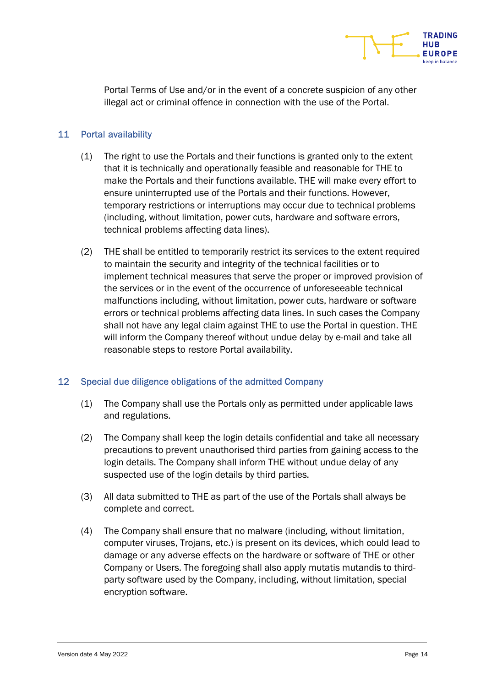

Portal Terms of Use and/or in the event of a concrete suspicion of any other illegal act or criminal offence in connection with the use of the Portal.

## 11 Portal availability

- (1) The right to use the Portals and their functions is granted only to the extent that it is technically and operationally feasible and reasonable for THE to make the Portals and their functions available. THE will make every effort to ensure uninterrupted use of the Portals and their functions. However, temporary restrictions or interruptions may occur due to technical problems (including, without limitation, power cuts, hardware and software errors, technical problems affecting data lines).
- (2) THE shall be entitled to temporarily restrict its services to the extent required to maintain the security and integrity of the technical facilities or to implement technical measures that serve the proper or improved provision of the services or in the event of the occurrence of unforeseeable technical malfunctions including, without limitation, power cuts, hardware or software errors or technical problems affecting data lines. In such cases the Company shall not have any legal claim against THE to use the Portal in question. THE will inform the Company thereof without undue delay by e-mail and take all reasonable steps to restore Portal availability.

## 12 Special due diligence obligations of the admitted Company

- (1) The Company shall use the Portals only as permitted under applicable laws and regulations.
- (2) The Company shall keep the login details confidential and take all necessary precautions to prevent unauthorised third parties from gaining access to the login details. The Company shall inform THE without undue delay of any suspected use of the login details by third parties.
- (3) All data submitted to THE as part of the use of the Portals shall always be complete and correct.
- (4) The Company shall ensure that no malware (including, without limitation, computer viruses, Trojans, etc.) is present on its devices, which could lead to damage or any adverse effects on the hardware or software of THE or other Company or Users. The foregoing shall also apply mutatis mutandis to thirdparty software used by the Company, including, without limitation, special encryption software.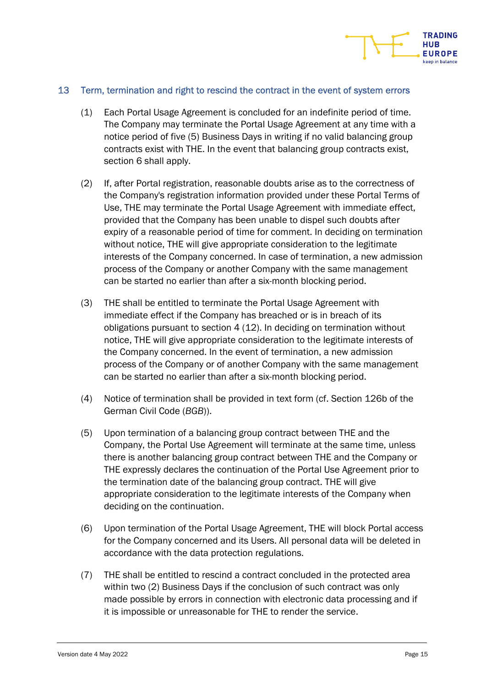

#### 13 Term, termination and right to rescind the contract in the event of system errors

- (1) Each Portal Usage Agreement is concluded for an indefinite period of time. The Company may terminate the Portal Usage Agreement at any time with a notice period of five (5) Business Days in writing if no valid balancing group contracts exist with THE. In the event that balancing group contracts exist, section 6 shall apply.
- (2) If, after Portal registration, reasonable doubts arise as to the correctness of the Company's registration information provided under these Portal Terms of Use, THE may terminate the Portal Usage Agreement with immediate effect, provided that the Company has been unable to dispel such doubts after expiry of a reasonable period of time for comment. In deciding on termination without notice, THE will give appropriate consideration to the legitimate interests of the Company concerned. In case of termination, a new admission process of the Company or another Company with the same management can be started no earlier than after a six-month blocking period.
- (3) THE shall be entitled to terminate the Portal Usage Agreement with immediate effect if the Company has breached or is in breach of its obligations pursuant to section 4 (12). In deciding on termination without notice, THE will give appropriate consideration to the legitimate interests of the Company concerned. In the event of termination, a new admission process of the Company or of another Company with the same management can be started no earlier than after a six-month blocking period.
- (4) Notice of termination shall be provided in text form (cf. Section 126b of the German Civil Code (BGB)).
- (5) Upon termination of a balancing group contract between THE and the Company, the Portal Use Agreement will terminate at the same time, unless there is another balancing group contract between THE and the Company or THE expressly declares the continuation of the Portal Use Agreement prior to the termination date of the balancing group contract. THE will give appropriate consideration to the legitimate interests of the Company when deciding on the continuation.
- (6) Upon termination of the Portal Usage Agreement, THE will block Portal access for the Company concerned and its Users. All personal data will be deleted in accordance with the data protection regulations.
- (7) THE shall be entitled to rescind a contract concluded in the protected area within two (2) Business Days if the conclusion of such contract was only made possible by errors in connection with electronic data processing and if it is impossible or unreasonable for THE to render the service.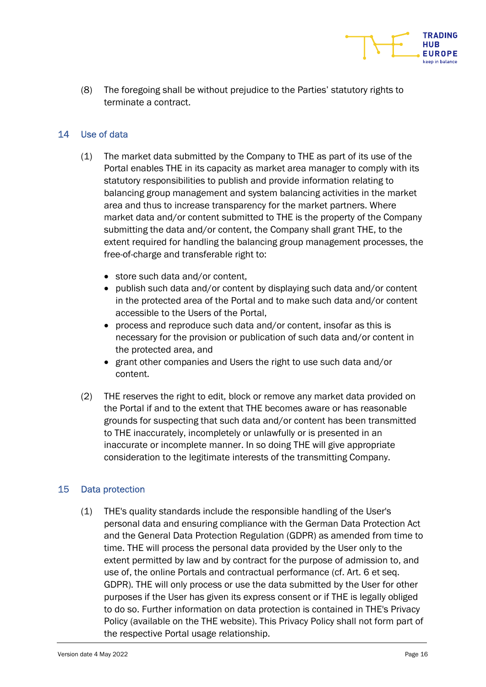(8) The foregoing shall be without prejudice to the Parties' statutory rights to terminate a contract.

## 14 Use of data

- (1) The market data submitted by the Company to THE as part of its use of the Portal enables THE in its capacity as market area manager to comply with its statutory responsibilities to publish and provide information relating to balancing group management and system balancing activities in the market area and thus to increase transparency for the market partners. Where market data and/or content submitted to THE is the property of the Company submitting the data and/or content, the Company shall grant THE, to the extent required for handling the balancing group management processes, the free-of-charge and transferable right to:
	- store such data and/or content,
	- publish such data and/or content by displaying such data and/or content in the protected area of the Portal and to make such data and/or content accessible to the Users of the Portal,
	- process and reproduce such data and/or content, insofar as this is necessary for the provision or publication of such data and/or content in the protected area, and
	- grant other companies and Users the right to use such data and/or content.
- (2) THE reserves the right to edit, block or remove any market data provided on the Portal if and to the extent that THE becomes aware or has reasonable grounds for suspecting that such data and/or content has been transmitted to THE inaccurately, incompletely or unlawfully or is presented in an inaccurate or incomplete manner. In so doing THE will give appropriate consideration to the legitimate interests of the transmitting Company.

## 15 Data protection

(1) THE's quality standards include the responsible handling of the User's personal data and ensuring compliance with the German Data Protection Act and the General Data Protection Regulation (GDPR) as amended from time to time. THE will process the personal data provided by the User only to the extent permitted by law and by contract for the purpose of admission to, and use of, the online Portals and contractual performance (cf. Art. 6 et seq. GDPR). THE will only process or use the data submitted by the User for other purposes if the User has given its express consent or if THE is legally obliged to do so. Further information on data protection is contained in THE's Privacy Policy (available on the THE website). This Privacy Policy shall not form part of the respective Portal usage relationship.

**TRADING** HUR **FUROPE**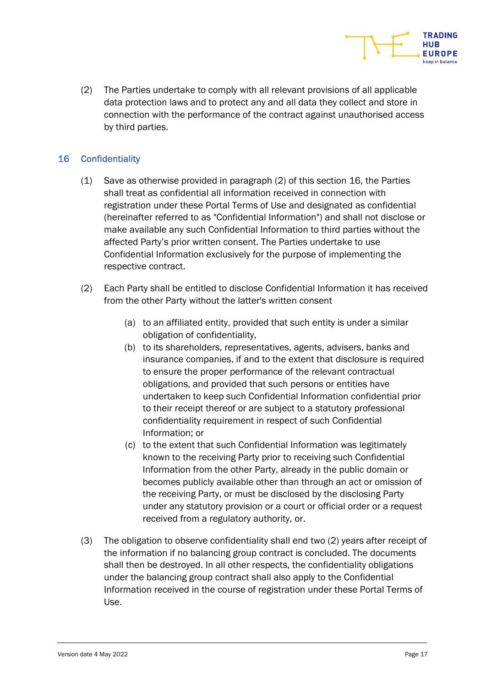(2) The Parties undertake to comply with all relevant provisions of all applicable data protection laws and to protect any and all data they collect and store in connection with the performance of the contract against unauthorised access by third parties.

# 16 Confidentiality

- (1) Save as otherwise provided in paragraph (2) of this section 16, the Parties shall treat as confidential all information received in connection with registration under these Portal Terms of Use and designated as confidential (hereinafter referred to as "Confidential Information") and shall not disclose or make available any such Confidential Information to third parties without the affected Party's prior written consent. The Parties undertake to use Confidential Information exclusively for the purpose of implementing the respective contract.
- (2) Each Party shall be entitled to disclose Confidential Information it has received from the other Party without the latter's written consent
	- (a) to an affiliated entity, provided that such entity is under a similar obligation of confidentiality,
	- (b) to its shareholders, representatives, agents, advisers, banks and insurance companies, if and to the extent that disclosure is required to ensure the proper performance of the relevant contractual obligations, and provided that such persons or entities have undertaken to keep such Confidential Information confidential prior to their receipt thereof or are subject to a statutory professional confidentiality requirement in respect of such Confidential Information; or
	- (c) to the extent that such Confidential Information was legitimately known to the receiving Party prior to receiving such Confidential Information from the other Party, already in the public domain or becomes publicly available other than through an act or omission of the receiving Party, or must be disclosed by the disclosing Party under any statutory provision or a court or official order or a request received from a regulatory authority, or.
- (3) The obligation to observe confidentiality shall end two (2) years after receipt of the information if no balancing group contract is concluded. The documents shall then be destroyed. In all other respects, the confidentiality obligations under the balancing group contract shall also apply to the Confidential Information received in the course of registration under these Portal Terms of Use.

**TRADING** HUR **FUROPE**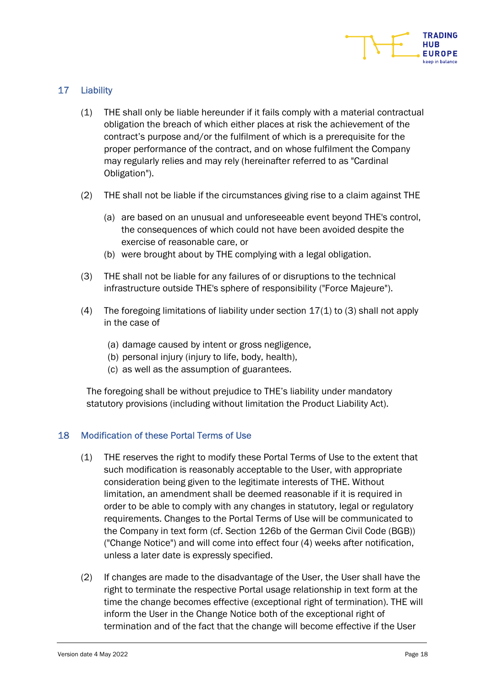

# 17 Liability

- (1) THE shall only be liable hereunder if it fails comply with a material contractual obligation the breach of which either places at risk the achievement of the contract's purpose and/or the fulfilment of which is a prerequisite for the proper performance of the contract, and on whose fulfilment the Company may regularly relies and may rely (hereinafter referred to as "Cardinal Obligation").
- (2) THE shall not be liable if the circumstances giving rise to a claim against THE
	- (a) are based on an unusual and unforeseeable event beyond THE's control, the consequences of which could not have been avoided despite the exercise of reasonable care, or
	- (b) were brought about by THE complying with a legal obligation.
- (3) THE shall not be liable for any failures of or disruptions to the technical infrastructure outside THE's sphere of responsibility ("Force Majeure").
- (4) The foregoing limitations of liability under section 17(1) to (3) shall not apply in the case of
	- (a) damage caused by intent or gross negligence,
	- (b) personal injury (injury to life, body, health),
	- (c) as well as the assumption of guarantees.

The foregoing shall be without prejudice to THE's liability under mandatory statutory provisions (including without limitation the Product Liability Act).

## 18 Modification of these Portal Terms of Use

- (1) THE reserves the right to modify these Portal Terms of Use to the extent that such modification is reasonably acceptable to the User, with appropriate consideration being given to the legitimate interests of THE. Without limitation, an amendment shall be deemed reasonable if it is required in order to be able to comply with any changes in statutory, legal or regulatory requirements. Changes to the Portal Terms of Use will be communicated to the Company in text form (cf. Section 126b of the German Civil Code (BGB)) ("Change Notice") and will come into effect four (4) weeks after notification, unless a later date is expressly specified.
- (2) If changes are made to the disadvantage of the User, the User shall have the right to terminate the respective Portal usage relationship in text form at the time the change becomes effective (exceptional right of termination). THE will inform the User in the Change Notice both of the exceptional right of termination and of the fact that the change will become effective if the User